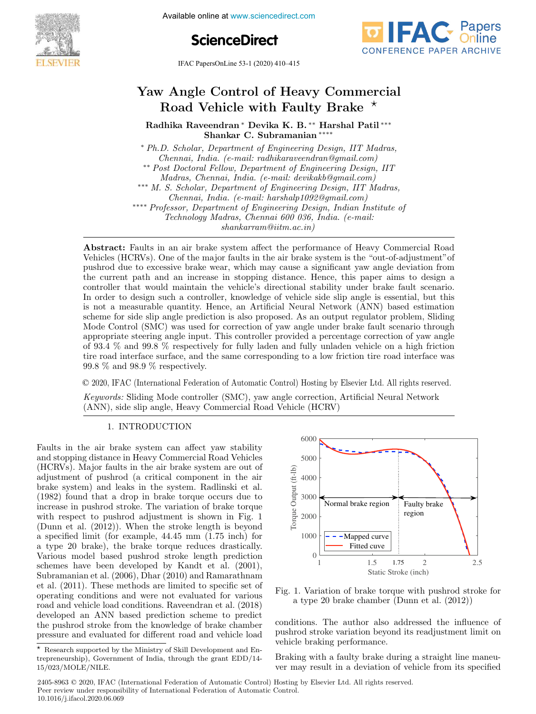

Available online at www.sciencedirect.com

**ScienceDirect**



IFAC PapersOnLine 53-1 (2020) 410–415

# Yaw Angle Control of Heavy Commercial Road Vehicle with Faulty Brake  $\star$

Radhika Raveendran <sup>∗</sup> Devika K. B. ∗∗ Harshal Patil ∗∗∗ Shankar C. Subramanian ∗∗∗∗

<sup>∗</sup> Ph.D. Scholar, Department of Engineering Design, IIT Madras, Chennai, India. (e-mail: radhikaraveendran@gmail.com) ∗∗ Post Doctoral Fellow, Department of Engineering Design, IIT Madras, Chennai, India. (e-mail: devikakb@gmail.com) ∗∗∗ M. S. Scholar, Department of Engineering Design, IIT Madras, Chennai, India. (e-mail: harshalp1092@gmail.com) ∗∗∗∗ Professor, Department of Engineering Design, Indian Institute of Technology Madras, Chennai 600 036, India. (e-mail: shankarram@iitm.ac.in)

Abstract: Faults in an air brake system affect the performance of Heavy Commercial Road Vehicles (HCRVs). One of the major faults in the air brake system is the "out-of-adjustment"of pushrod due to excessive brake wear, which may cause a significant yaw angle deviation from the current path and an increase in stopping distance. Hence, this paper aims to design a controller that would maintain the vehicle's directional stability under brake fault scenario. In order to design such a controller, knowledge of vehicle side slip angle is essential, but this is not a measurable quantity. Hence, an Artificial Neural Network (ANN) based estimation scheme for side slip angle prediction is also proposed. As an output regulator problem, Sliding Mode Control (SMC) was used for correction of yaw angle under brake fault scenario through appropriate steering angle input. This controller provided a percentage correction of yaw angle of 93.4 % and 99.8 % respectively for fully laden and fully unladen vehicle on a high friction tire road interface surface, and the same corresponding to a low friction tire road interface was 99.8 % and 98.9 % respectively.

© 2020, IFAC (International Federation of Automatic Control) Hosting by Elsevier Ltd. All rights reserved.

Keywords: Sliding Mode controller (SMC), yaw angle correction, Artificial Neural Network (ANN), side slip angle, Heavy Commercial Road Vehicle (HCRV)

#### 1. INTRODUCTION

Faults in the air brake system can affect yaw stability and stopping distance in Heavy Commercial Road Vehicles (HCRVs). Major faults in the air brake system are out of adjustment of pushrod (a critical component in the air brake system) and leaks in the system. Radlinski et al. (1982) found that a drop in brake torque occurs due to increase in pushrod stroke. The variation of brake torque with respect to pushrod adjustment is shown in Fig. 1 (Dunn et al. (2012)). When the stroke length is beyond a specified limit (for example, 44.45 mm (1.75 inch) for a type 20 brake), the brake torque reduces drastically. Various model based pushrod stroke length prediction schemes have been developed by Kandt et al. (2001), Subramanian et al. (2006), Dhar (2010) and Ramarathnam et al. (2011). These methods are limited to specific set of operating conditions and were not evaluated for various road and vehicle load conditions. Raveendran et al. (2018) developed an ANN based prediction scheme to predict the pushrod stroke from the knowledge of brake chamber pressure and evaluated for different road and vehicle load



Fig. 1. Variation of brake torque with pushrod stroke for a type 20 brake chamber (Dunn et al. (2012))

conditions. The author also addressed the influence of pushrod stroke variation beyond its readjustment limit on vehicle braking performance.

Braking with a faulty brake during a straight line maneuver may result in a deviation of vehicle from its specified

2405-8963 © 2020, IFAC (International Federation of Automatic Control) Hosting by Elsevier Ltd. All rights reserved. Peer review under responsibility of International Federation of Automatic Control. 10.1016/j.ifacol.2020.06.069

 $\star$  Research supported by the Ministry of Skill Development and Entrepreneurship), Government of India, through the grant EDD/14- 15/023/MOLE/NILE.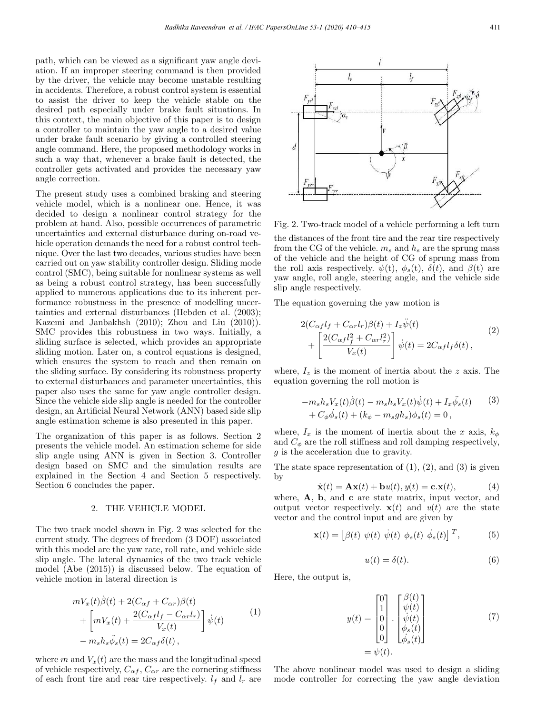path, which can be viewed as a significant yaw angle deviation. If an improper steering command is then provided by the driver, the vehicle may become unstable resulting in accidents. Therefore, a robust control system is essential to assist the driver to keep the vehicle stable on the desired path especially under brake fault situations. In this context, the main objective of this paper is to design a controller to maintain the yaw angle to a desired value under brake fault scenario by giving a controlled steering angle command. Here, the proposed methodology works in such a way that, whenever a brake fault is detected, the controller gets activated and provides the necessary yaw angle correction.

The present study uses a combined braking and steering vehicle model, which is a nonlinear one. Hence, it was decided to design a nonlinear control strategy for the problem at hand. Also, possible occurrences of parametric uncertainties and external disturbance during on-road vehicle operation demands the need for a robust control technique. Over the last two decades, various studies have been carried out on yaw stability controller design. Sliding mode control (SMC), being suitable for nonlinear systems as well as being a robust control strategy, has been successfully applied to numerous applications due to its inherent performance robustness in the presence of modelling uncertainties and external disturbances (Hebden et al. (2003); Kazemi and Janbakhsh (2010); Zhou and Liu (2010)). SMC provides this robustness in two ways. Initially, a sliding surface is selected, which provides an appropriate sliding motion. Later on, a control equations is designed, which ensures the system to reach and then remain on the sliding surface. By considering its robustness property to external disturbances and parameter uncertainties, this paper also uses the same for yaw angle controller design. Since the vehicle side slip angle is needed for the controller design, an Artificial Neural Network (ANN) based side slip angle estimation scheme is also presented in this paper.

The organization of this paper is as follows. Section 2 presents the vehicle model. An estimation scheme for side slip angle using ANN is given in Section 3. Controller design based on SMC and the simulation results are explained in the Section 4 and Section 5 respectively. Section 6 concludes the paper.

#### 2. THE VEHICLE MODEL

The two track model shown in Fig. 2 was selected for the current study. The degrees of freedom (3 DOF) associated with this model are the yaw rate, roll rate, and vehicle side slip angle. The lateral dynamics of the two track vehicle model (Abe (2015)) is discussed below. The equation of vehicle motion in lateral direction is

$$
mV_x(t)\dot{\beta}(t) + 2(C_{\alpha f} + C_{\alpha r})\beta(t)
$$
  
+ 
$$
\left[mV_x(t) + \frac{2(C_{\alpha f}l_f - C_{\alpha r}l_r)}{V_x(t)}\right]\dot{\psi}(t)
$$
  
- 
$$
m_s h_s \ddot{\phi}_s(t) = 2C_{\alpha f} \delta(t),
$$
 (1)

where m and  $V_x(t)$  are the mass and the longitudinal speed of vehicle respectively,  $C_{\alpha f}$ ,  $C_{\alpha r}$  are the cornering stiffness of each front tire and rear tire respectively.  $l_f$  and  $l_r$  are



Fig. 2. Two-track model of a vehicle performing a left turn the distances of the front tire and the rear tire respectively from the CG of the vehicle.  $m_s$  and  $h_s$  are the sprung mass of the vehicle and the height of CG of sprung mass from the roll axis respectively.  $\psi(t)$ ,  $\phi_s(t)$ ,  $\delta(t)$ , and  $\beta(t)$  are yaw angle, roll angle, steering angle, and the vehicle side slip angle respectively.

The equation governing the yaw motion is

$$
2(C_{\alpha f}l_f + C_{\alpha r}l_r)\beta(t) + I_z\ddot{\psi}(t)
$$
  
+ 
$$
\left[\frac{2(C_{\alpha f}l_f^2 + C_{\alpha r}l_r^2)}{V_x(t)}\right]\dot{\psi}(t) = 2C_{\alpha f}l_f\delta(t),
$$
 (2)

where,  $I_z$  is the moment of inertia about the z axis. The equation governing the roll motion is

$$
-m_s h_s V_x(t)\dot{\beta}(t) - m_s h_s V_x(t)\dot{\psi}(t) + I_x \dot{\phi}_s(t)
$$
  
+  $C_{\phi}\dot{\phi}_s(t) + (k_{\phi} - m_s g h_s)\phi_s(t) = 0,$  (3)

where,  $I_x$  is the moment of inertia about the x axis,  $k_\phi$ and  $C_{\phi}$  are the roll stiffness and roll damping respectively, g is the acceleration due to gravity.

The state space representation of  $(1)$ ,  $(2)$ , and  $(3)$  is given by

$$
\dot{\mathbf{x}}(t) = \mathbf{A}\mathbf{x}(t) + \mathbf{b}u(t), y(t) = \mathbf{c}.\mathbf{x}(t),
$$
 (4)

where, **A**, **b**, and **c** are state matrix, input vector, and output vector respectively.  $\mathbf{x}(t)$  and  $u(t)$  are the state vector and the control input and are given by

$$
\mathbf{x}(t) = \left[\beta(t) \ \psi(t) \ \dot{\psi}(t) \ \phi_s(t) \ \dot{\phi}_s(t)\right]^T, \tag{5}
$$

$$
u(t) = \delta(t). \tag{6}
$$

Here, the output is,

$$
y(t) = \begin{bmatrix} 0 \\ 1 \\ 0 \\ 0 \\ 0 \end{bmatrix} \cdot \begin{bmatrix} \beta(t) \\ \psi(t) \\ \dot{\psi}(t) \\ \dot{\phi}_s(t) \\ \dot{\phi}_s(t) \end{bmatrix}
$$
(7)  
=  $\psi(t)$ .

The above nonlinear model was used to design a sliding mode controller for correcting the yaw angle deviation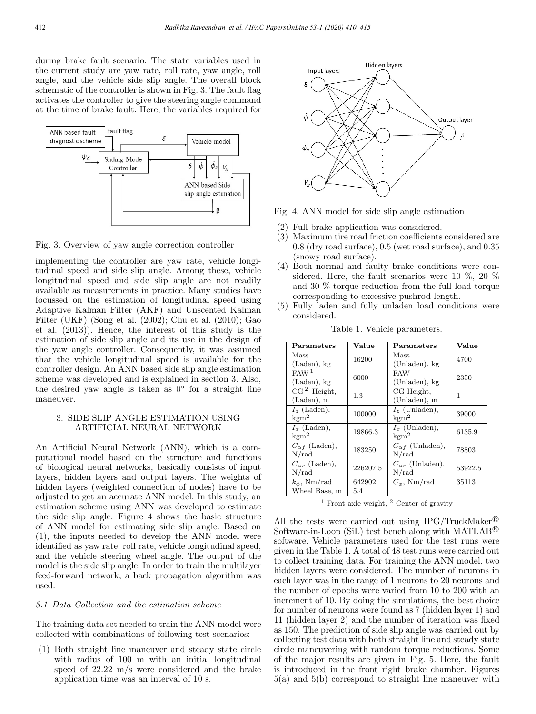during brake fault scenario. The state variables used in the current study are yaw rate, roll rate, yaw angle, roll angle, and the vehicle side slip angle. The overall block schematic of the controller is shown in Fig. 3. The fault flag activates the controller to give the steering angle command at the time of brake fault. Here, the variables required for



Fig. 3. Overview of yaw angle correction controller

implementing the controller are yaw rate, vehicle longitudinal speed and side slip angle. Among these, vehicle longitudinal speed and side slip angle are not readily available as measurements in practice. Many studies have focussed on the estimation of longitudinal speed using Adaptive Kalman Filter (AKF) and Unscented Kalman Filter (UKF) (Song et al. (2002); Chu et al. (2010); Gao et al. (2013)). Hence, the interest of this study is the estimation of side slip angle and its use in the design of the yaw angle controller. Consequently, it was assumed that the vehicle longitudinal speed is available for the controller design. An ANN based side slip angle estimation scheme was developed and is explained in section 3. Also, the desired yaw angle is taken as  $0^{\circ}$  for a straight line maneuver.

## 3. SIDE SLIP ANGLE ESTIMATION USING ARTIFICIAL NEURAL NETWORK

An Artificial Neural Network (ANN), which is a computational model based on the structure and functions of biological neural networks, basically consists of input layers, hidden layers and output layers. The weights of hidden layers (weighted connection of nodes) have to be adjusted to get an accurate ANN model. In this study, an estimation scheme using ANN was developed to estimate the side slip angle. Figure 4 shows the basic structure of ANN model for estimating side slip angle. Based on (1), the inputs needed to develop the ANN model were identified as yaw rate, roll rate, vehicle longitudinal speed, and the vehicle steering wheel angle. The output of the model is the side slip angle. In order to train the multilayer feed-forward network, a back propagation algorithm was used.

## 3.1 Data Collection and the estimation scheme

The training data set needed to train the ANN model were collected with combinations of following test scenarios:

(1) Both straight line maneuver and steady state circle with radius of 100 m with an initial longitudinal speed of 22.22 m/s were considered and the brake application time was an interval of 10 s.



Fig. 4. ANN model for side slip angle estimation

- (2) Full brake application was considered.
- (3) Maximum tire road friction coefficients considered are 0.8 (dry road surface), 0.5 (wet road surface), and 0.35 (snowy road surface).
- (4) Both normal and faulty brake conditions were considered. Here, the fault scenarios were 10 %, 20 % and 30 % torque reduction from the full load torque corresponding to excessive pushrod length.
- (5) Fully laden and fully unladen load conditions were considered.

| Parameters                              | Value    | Parameters                           | Value   |  |
|-----------------------------------------|----------|--------------------------------------|---------|--|
| Mass                                    | 16200    | Mass                                 | 4700    |  |
| (Laden), kg<br>FAW <sup>1</sup>         |          | (Unladen), kg<br><b>FAW</b>          |         |  |
| $(Laden)$ , kg                          | 6000     | (Unladen), kg                        | 2350    |  |
| $\overline{CG^2}$ Height,<br>(Laden), m | $1.3\,$  | CG Height,<br>(Unladen), m           | 1       |  |
| $I_z$ (Laden),<br>$\mathrm{kgm}^2$      | 100000   | $I_z$ (Unladen),<br>$\mathrm{kgm}^2$ | 39000   |  |
| $I_x$ (Laden),<br>$\mathrm{kgm}^2$      | 19866.3  | $I_x$ (Unladen),<br>$\mathrm{kgm}^2$ | 6135.9  |  |
| $C_{\alpha f}$ (Laden),<br>N/rad        | 183250   | $C_{\alpha f}$ (Unladen),<br>N/rad   | 78803   |  |
| $C_{\alpha r}$ (Laden),<br>N/rad        | 226207.5 | $C_{\alpha r}$ (Unladen),<br>N/rad   | 53922.5 |  |
| $k_{\phi}$ , Nm/rad                     | 642902   | $C_{\phi}$ , Nm/rad                  | 35113   |  |
| Wheel Base, m                           | 5.4      |                                      |         |  |

Table 1. Vehicle parameters.

<sup>1</sup> Front axle weight,  $\frac{2}{3}$  Center of gravity

All the tests were carried out using IPG/TruckMaker<sup>®</sup> Software-in-Loop (SiL) test bench along with MATLAB<sup>®</sup> software. Vehicle parameters used for the test runs were given in the Table 1. A total of 48 test runs were carried out to collect training data. For training the ANN model, two hidden layers were considered. The number of neurons in each layer was in the range of 1 neurons to 20 neurons and the number of epochs were varied from 10 to 200 with an increment of 10. By doing the simulations, the best choice for number of neurons were found as 7 (hidden layer 1) and 11 (hidden layer 2) and the number of iteration was fixed as 150. The prediction of side slip angle was carried out by collecting test data with both straight line and steady state circle maneuvering with random torque reductions. Some of the major results are given in Fig. 5. Here, the fault is introduced in the front right brake chamber. Figures 5(a) and 5(b) correspond to straight line maneuver with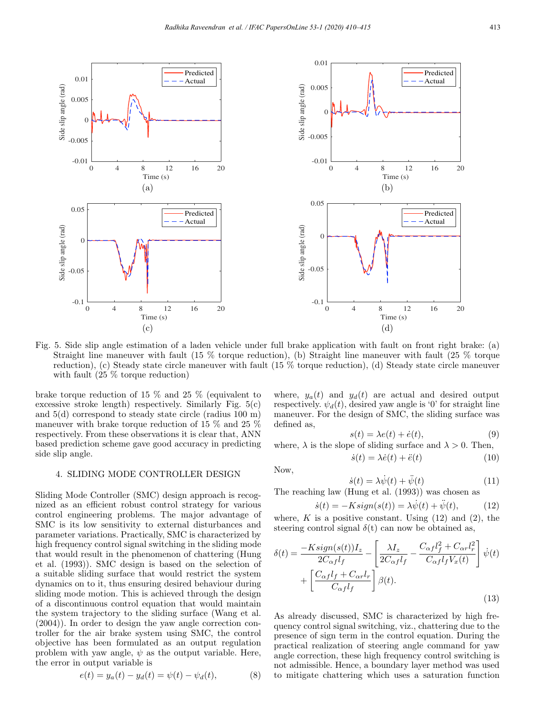

Fig. 5. Side slip angle estimation of a laden vehicle under full brake application with fault on front right brake: (a) Straight line maneuver with fault (15 % torque reduction), (b) Straight line maneuver with fault (25 % torque reduction), (c) Steady state circle maneuver with fault (15 % torque reduction), (d) Steady state circle maneuver with fault (25 % torque reduction)

brake torque reduction of 15 % and 25 % (equivalent to excessive stroke length) respectively. Similarly Fig. 5(c) and 5(d) correspond to steady state circle (radius 100 m) maneuver with brake torque reduction of 15 % and 25 % respectively. From these observations it is clear that, ANN based prediction scheme gave good accuracy in predicting side slip angle.

#### 4. SLIDING MODE CONTROLLER DESIGN

Sliding Mode Controller (SMC) design approach is recognized as an efficient robust control strategy for various control engineering problems. The major advantage of SMC is its low sensitivity to external disturbances and parameter variations. Practically, SMC is characterized by high frequency control signal switching in the sliding mode that would result in the phenomenon of chattering (Hung et al. (1993)). SMC design is based on the selection of a suitable sliding surface that would restrict the system dynamics on to it, thus ensuring desired behaviour during sliding mode motion. This is achieved through the design of a discontinuous control equation that would maintain the system trajectory to the sliding surface (Wang et al. (2004)). In order to design the yaw angle correction controller for the air brake system using SMC, the control objective has been formulated as an output regulation problem with yaw angle,  $\psi$  as the output variable. Here, the error in output variable is

$$
e(t) = y_a(t) - y_d(t) = \psi(t) - \psi_d(t),
$$
 (8)

where,  $y_a(t)$  and  $y_d(t)$  are actual and desired output respectively.  $\psi_d(t)$ , desired yaw angle is '0' for straight line maneuver. For the design of SMC, the sliding surface was defined as,

$$
s(t) = \lambda e(t) + \dot{e}(t),\tag{9}
$$

where,  $\lambda$  is the slope of sliding surface and  $\lambda > 0$ . Then,

$$
\dot{s}(t) = \lambda \dot{e}(t) + \ddot{e}(t) \tag{10}
$$

Now,

$$
\dot{s}(t) = \lambda \dot{\psi}(t) + \ddot{\psi}(t) \tag{11}
$$

The reaching law (Hung et al. (1993)) was chosen as

$$
\dot{s}(t) = -Ksign(s(t)) = \lambda \dot{\psi}(t) + \ddot{\psi}(t),\tag{12}
$$

where, K is a positive constant. Using  $(12)$  and  $(2)$ , the steering control signal  $\delta(t)$  can now be obtained as,

$$
\delta(t) = \frac{-Ksign(s(t))I_z}{2C_{\alpha f}l_f} - \left[\frac{\lambda I_z}{2C_{\alpha f}l_f} - \frac{C_{\alpha f}l_f^2 + C_{\alpha r}l_r^2}{C_{\alpha f}l_fV_x(t)}\right]\psi(t) + \left[\frac{C_{\alpha f}l_f + C_{\alpha r}l_r}{C_{\alpha f}l_f}\right]\beta(t).
$$
\n(13)

As already discussed, SMC is characterized by high frequency control signal switching, viz., chattering due to the presence of sign term in the control equation. During the practical realization of steering angle command for yaw angle correction, these high frequency control switching is not admissible. Hence, a boundary layer method was used to mitigate chattering which uses a saturation function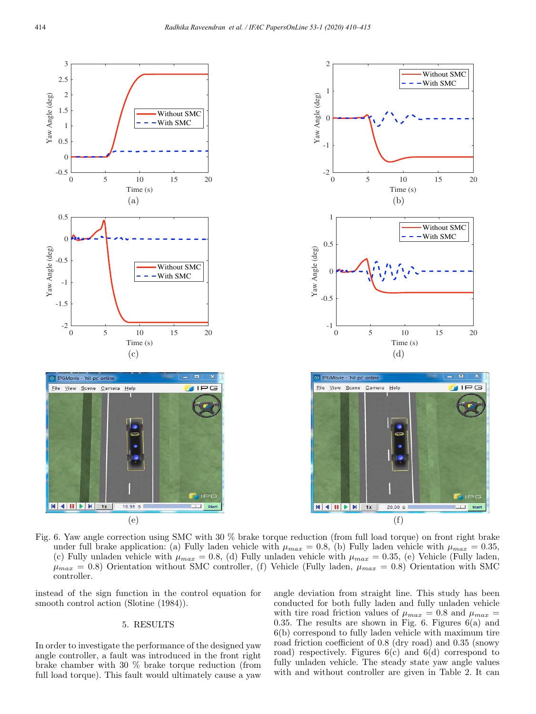

Fig. 6. Yaw angle correction using SMC with 30 % brake torque reduction (from full load torque) on front right brake under full brake application: (a) Fully laden vehicle with  $\mu_{max} = 0.8$ , (b) Fully laden vehicle with  $\mu_{max} = 0.35$ , (c) Fully unladen vehicle with  $\mu_{max} = 0.8$ , (d) Fully unladen vehicle with  $\mu_{max} = 0.35$ , (e) Vehicle (Fully laden,  $\mu_{max} = 0.8$ ) Orientation without SMC controller, (f) Vehicle (Fully laden,  $\mu_{max} = 0.8$ ) Orientation with SMC controller.

instead of the sign function in the control equation for smooth control action (Slotine  $(1984)$ ).

# 5. RESULTS

In order to investigate the performance of the designed yaw angle controller, a fault was introduced in the front right brake chamber with 30 % brake torque reduction (from full load torque). This fault would ultimately cause a yaw angle deviation from straight line. This study has been conducted for both fully laden and fully unladen vehicle with tire road friction values of  $\mu_{max} = 0.8$  and  $\mu_{max} =$ 0.35. The results are shown in Fig. 6. Figures 6(a) and 6(b) correspond to fully laden vehicle with maximum tire road friction coefficient of 0.8 (dry road) and 0.35 (snowy road) respectively. Figures  $6(c)$  and  $6(d)$  correspond to fully unladen vehicle. The steady state yaw angle values with and without controller are given in Table 2. It can